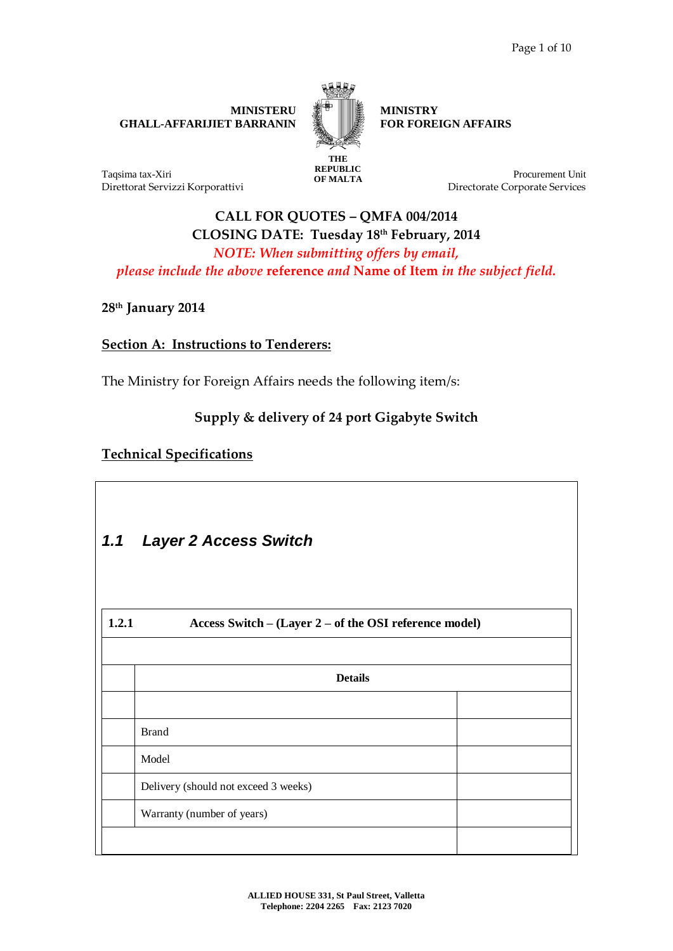**MINISTERU GĦALL-AFFARIJIET BARRANIN** 



**REPUBLIC** 

**MINISTRY FOR FOREIGN AFFAIRS**

Taqsima tax-Xiri Direttorat Servizzi Korporattivi **OF MALTA** Procurement Unit Directorate Corporate Services

# **CALL FOR QUOTES – QMFA 004/2014 CLOSING DATE: Tuesday 18th February, 2014** *NOTE: When submitting offers by email, please include the above* **reference** *and* **Name of Item** *in the subject field.*

**28 th January 2014**

### **Section A: Instructions to Tenderers:**

The Ministry for Foreign Affairs needs the following item/s:

## **Supply & delivery of 24 port Gigabyte Switch**

### **Technical Specifications**

| <b>Layer 2 Access Switch</b>                           |  |
|--------------------------------------------------------|--|
| Access Switch - (Layer 2 - of the OSI reference model) |  |
| <b>Details</b>                                         |  |
| <b>Brand</b>                                           |  |
| Model                                                  |  |
| Delivery (should not exceed 3 weeks)                   |  |
| Warranty (number of years)                             |  |
|                                                        |  |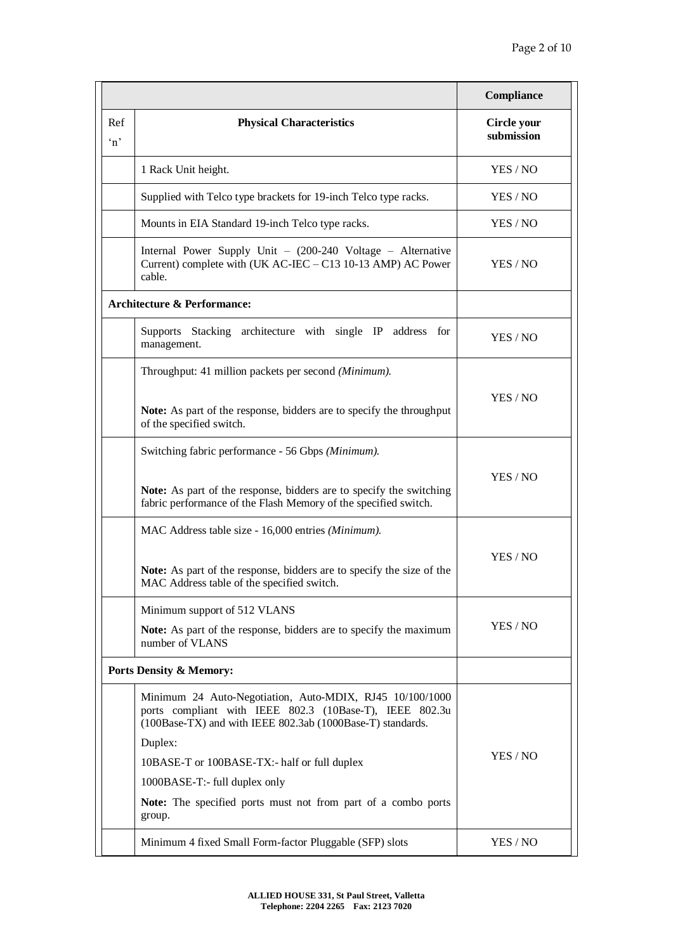|                     |                                                                                                                                                                                   | Compliance                |  |
|---------------------|-----------------------------------------------------------------------------------------------------------------------------------------------------------------------------------|---------------------------|--|
| Ref<br>$\mathbf{m}$ | <b>Physical Characteristics</b>                                                                                                                                                   | Circle your<br>submission |  |
|                     | 1 Rack Unit height.                                                                                                                                                               | YES / NO                  |  |
|                     | Supplied with Telco type brackets for 19-inch Telco type racks.                                                                                                                   | YES / NO                  |  |
|                     | Mounts in EIA Standard 19-inch Telco type racks.                                                                                                                                  | YES / NO                  |  |
|                     | Internal Power Supply Unit - (200-240 Voltage - Alternative<br>Current) complete with (UK AC-IEC - C13 10-13 AMP) AC Power<br>cable.                                              | YES / NO                  |  |
|                     | <b>Architecture &amp; Performance:</b>                                                                                                                                            |                           |  |
|                     | Supports Stacking architecture with single IP address for<br>management.                                                                                                          | YES / NO                  |  |
|                     | Throughput: 41 million packets per second (Minimum).                                                                                                                              |                           |  |
|                     | Note: As part of the response, bidders are to specify the throughput<br>of the specified switch.                                                                                  | YES / NO                  |  |
|                     | Switching fabric performance - 56 Gbps (Minimum).                                                                                                                                 |                           |  |
|                     | Note: As part of the response, bidders are to specify the switching<br>fabric performance of the Flash Memory of the specified switch.                                            | YES / NO                  |  |
|                     | MAC Address table size - 16,000 entries (Minimum).                                                                                                                                |                           |  |
|                     | Note: As part of the response, bidders are to specify the size of the<br>MAC Address table of the specified switch.                                                               | YES / NO                  |  |
|                     | Minimum support of 512 VLANS                                                                                                                                                      |                           |  |
|                     | Note: As part of the response, bidders are to specify the maximum<br>number of VLANS                                                                                              | YES / NO                  |  |
|                     | <b>Ports Density &amp; Memory:</b>                                                                                                                                                |                           |  |
|                     | Minimum 24 Auto-Negotiation, Auto-MDIX, RJ45 10/100/1000<br>ports compliant with IEEE 802.3 (10Base-T), IEEE 802.3u<br>(100Base-TX) and with IEEE 802.3ab (1000Base-T) standards. |                           |  |
|                     | Duplex:                                                                                                                                                                           | YES / NO                  |  |
|                     | 10BASE-T or 100BASE-TX:- half or full duplex                                                                                                                                      |                           |  |
|                     | 1000BASE-T:- full duplex only                                                                                                                                                     |                           |  |
|                     | Note: The specified ports must not from part of a combo ports<br>group.                                                                                                           |                           |  |
|                     | Minimum 4 fixed Small Form-factor Pluggable (SFP) slots                                                                                                                           | YES / NO                  |  |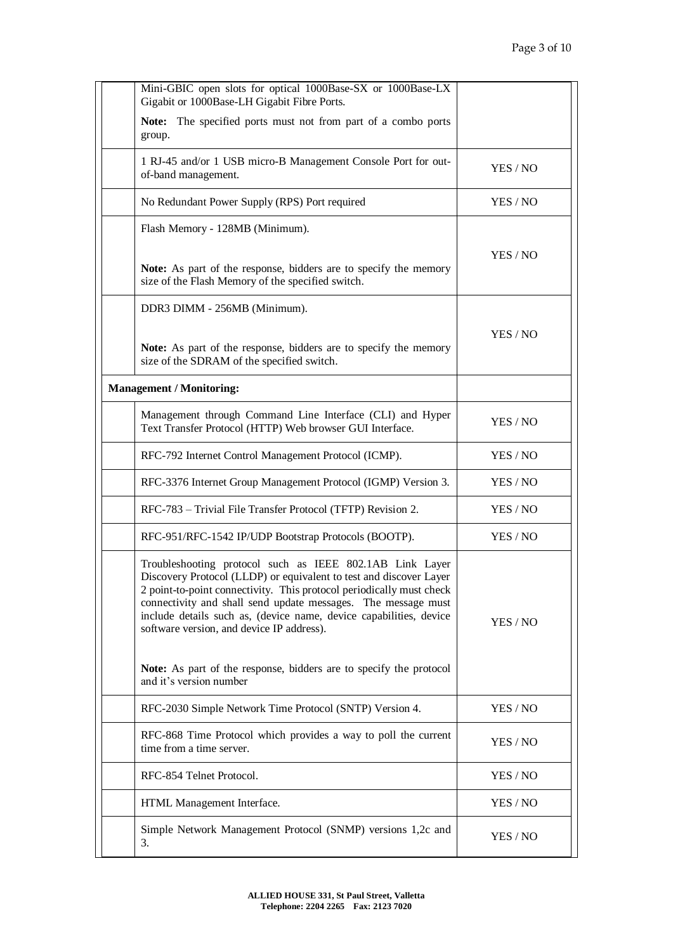| Mini-GBIC open slots for optical 1000Base-SX or 1000Base-LX<br>Gigabit or 1000Base-LH Gigabit Fibre Ports.                                                                                                                                                                                                                                                                                                                                                                                  |          |
|---------------------------------------------------------------------------------------------------------------------------------------------------------------------------------------------------------------------------------------------------------------------------------------------------------------------------------------------------------------------------------------------------------------------------------------------------------------------------------------------|----------|
| Note: The specified ports must not from part of a combo ports<br>group.                                                                                                                                                                                                                                                                                                                                                                                                                     |          |
| 1 RJ-45 and/or 1 USB micro-B Management Console Port for out-<br>of-band management.                                                                                                                                                                                                                                                                                                                                                                                                        | YES / NO |
| No Redundant Power Supply (RPS) Port required                                                                                                                                                                                                                                                                                                                                                                                                                                               | YES / NO |
| Flash Memory - 128MB (Minimum).                                                                                                                                                                                                                                                                                                                                                                                                                                                             |          |
| Note: As part of the response, bidders are to specify the memory<br>size of the Flash Memory of the specified switch.                                                                                                                                                                                                                                                                                                                                                                       | YES / NO |
| DDR3 DIMM - 256MB (Minimum).                                                                                                                                                                                                                                                                                                                                                                                                                                                                |          |
| Note: As part of the response, bidders are to specify the memory<br>size of the SDRAM of the specified switch.                                                                                                                                                                                                                                                                                                                                                                              | YES / NO |
| <b>Management / Monitoring:</b>                                                                                                                                                                                                                                                                                                                                                                                                                                                             |          |
| Management through Command Line Interface (CLI) and Hyper<br>Text Transfer Protocol (HTTP) Web browser GUI Interface.                                                                                                                                                                                                                                                                                                                                                                       | YES / NO |
| RFC-792 Internet Control Management Protocol (ICMP).                                                                                                                                                                                                                                                                                                                                                                                                                                        | YES / NO |
| RFC-3376 Internet Group Management Protocol (IGMP) Version 3.                                                                                                                                                                                                                                                                                                                                                                                                                               | YES / NO |
| RFC-783 - Trivial File Transfer Protocol (TFTP) Revision 2.                                                                                                                                                                                                                                                                                                                                                                                                                                 | YES / NO |
| RFC-951/RFC-1542 IP/UDP Bootstrap Protocols (BOOTP).                                                                                                                                                                                                                                                                                                                                                                                                                                        | YES / NO |
| Troubleshooting protocol such as IEEE 802.1AB Link Layer<br>Discovery Protocol (LLDP) or equivalent to test and discover Layer<br>2 point-to-point connectivity. This protocol periodically must check<br>connectivity and shall send update messages. The message must<br>include details such as, (device name, device capabilities, device<br>software version, and device IP address).<br>Note: As part of the response, bidders are to specify the protocol<br>and it's version number | YES / NO |
| RFC-2030 Simple Network Time Protocol (SNTP) Version 4.                                                                                                                                                                                                                                                                                                                                                                                                                                     | YES / NO |
| RFC-868 Time Protocol which provides a way to poll the current<br>time from a time server.                                                                                                                                                                                                                                                                                                                                                                                                  | YES / NO |
| RFC-854 Telnet Protocol.                                                                                                                                                                                                                                                                                                                                                                                                                                                                    | YES / NO |
| HTML Management Interface.                                                                                                                                                                                                                                                                                                                                                                                                                                                                  | YES / NO |
| Simple Network Management Protocol (SNMP) versions 1,2c and<br>3.                                                                                                                                                                                                                                                                                                                                                                                                                           | YES / NO |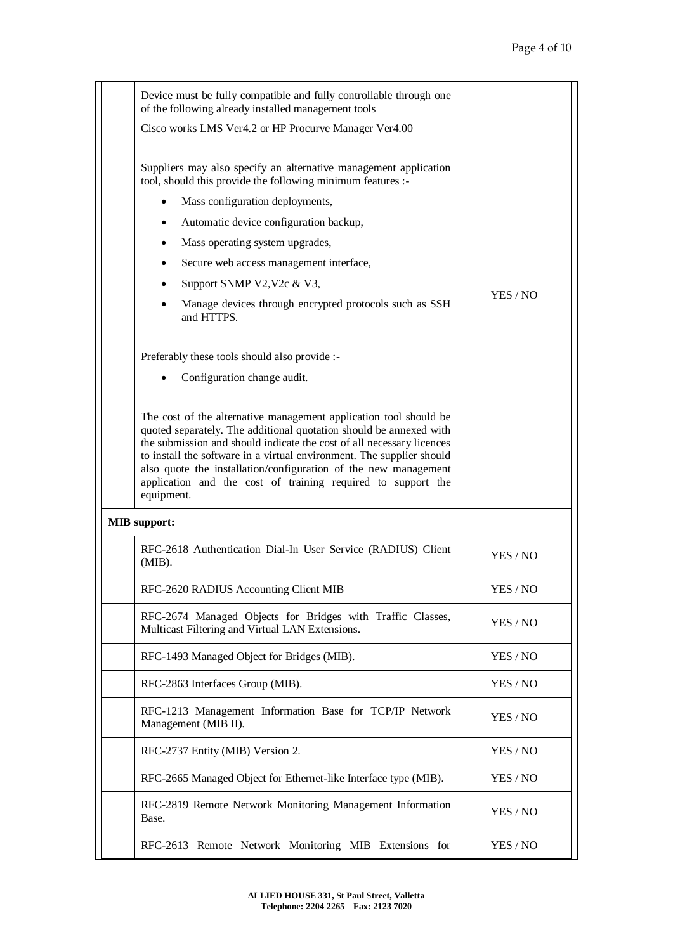| Device must be fully compatible and fully controllable through one<br>of the following already installed management tools                                                                                                                                                                                                                                                                                                                  |          |
|--------------------------------------------------------------------------------------------------------------------------------------------------------------------------------------------------------------------------------------------------------------------------------------------------------------------------------------------------------------------------------------------------------------------------------------------|----------|
| Cisco works LMS Ver4.2 or HP Procurve Manager Ver4.00                                                                                                                                                                                                                                                                                                                                                                                      |          |
| Suppliers may also specify an alternative management application<br>tool, should this provide the following minimum features :-                                                                                                                                                                                                                                                                                                            |          |
| Mass configuration deployments,                                                                                                                                                                                                                                                                                                                                                                                                            |          |
| Automatic device configuration backup,                                                                                                                                                                                                                                                                                                                                                                                                     |          |
| Mass operating system upgrades,                                                                                                                                                                                                                                                                                                                                                                                                            |          |
| Secure web access management interface,                                                                                                                                                                                                                                                                                                                                                                                                    |          |
| Support SNMP V2, V2c & V3,<br>٠                                                                                                                                                                                                                                                                                                                                                                                                            |          |
| Manage devices through encrypted protocols such as SSH<br>and HTTPS.                                                                                                                                                                                                                                                                                                                                                                       | YES / NO |
| Preferably these tools should also provide :-                                                                                                                                                                                                                                                                                                                                                                                              |          |
| Configuration change audit.                                                                                                                                                                                                                                                                                                                                                                                                                |          |
| The cost of the alternative management application tool should be<br>quoted separately. The additional quotation should be annexed with<br>the submission and should indicate the cost of all necessary licences<br>to install the software in a virtual environment. The supplier should<br>also quote the installation/configuration of the new management<br>application and the cost of training required to support the<br>equipment. |          |
| <b>MIB</b> support:                                                                                                                                                                                                                                                                                                                                                                                                                        |          |
| RFC-2618 Authentication Dial-In User Service (RADIUS) Client<br>$(MIB)$ .                                                                                                                                                                                                                                                                                                                                                                  | YES / NO |
| RFC-2620 RADIUS Accounting Client MIB                                                                                                                                                                                                                                                                                                                                                                                                      | YES / NO |
| RFC-2674 Managed Objects for Bridges with Traffic Classes,<br>Multicast Filtering and Virtual LAN Extensions.                                                                                                                                                                                                                                                                                                                              | YES / NO |
| RFC-1493 Managed Object for Bridges (MIB).                                                                                                                                                                                                                                                                                                                                                                                                 | YES / NO |
| RFC-2863 Interfaces Group (MIB).                                                                                                                                                                                                                                                                                                                                                                                                           | YES / NO |
| RFC-1213 Management Information Base for TCP/IP Network<br>Management (MIB II).                                                                                                                                                                                                                                                                                                                                                            | YES / NO |
| RFC-2737 Entity (MIB) Version 2.                                                                                                                                                                                                                                                                                                                                                                                                           | YES / NO |
| RFC-2665 Managed Object for Ethernet-like Interface type (MIB).                                                                                                                                                                                                                                                                                                                                                                            | YES / NO |
| RFC-2819 Remote Network Monitoring Management Information<br>Base.                                                                                                                                                                                                                                                                                                                                                                         | YES / NO |
| RFC-2613 Remote Network Monitoring MIB Extensions for                                                                                                                                                                                                                                                                                                                                                                                      | YES / NO |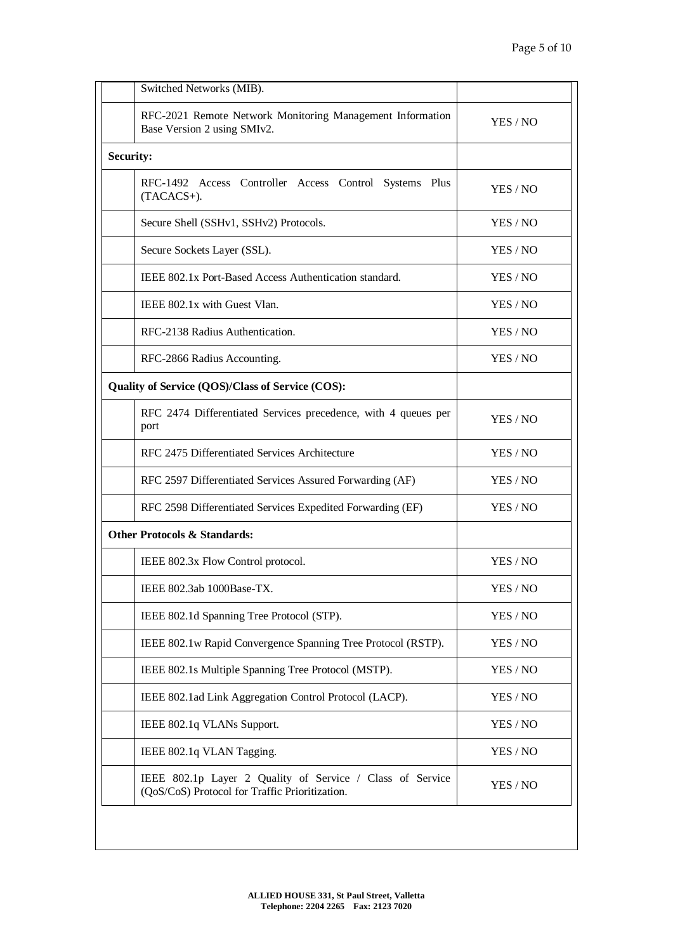| Switched Networks (MIB).                                                                                    |          |
|-------------------------------------------------------------------------------------------------------------|----------|
| RFC-2021 Remote Network Monitoring Management Information<br>Base Version 2 using SMIv2.                    | YES / NO |
| <b>Security:</b>                                                                                            |          |
| RFC-1492 Access Controller Access Control Systems Plus<br>(TACACS+).                                        | YES / NO |
| Secure Shell (SSHv1, SSHv2) Protocols.                                                                      | YES / NO |
| Secure Sockets Layer (SSL).                                                                                 | YES / NO |
| IEEE 802.1x Port-Based Access Authentication standard.                                                      | YES / NO |
| IEEE 802.1x with Guest Vlan.                                                                                | YES / NO |
| RFC-2138 Radius Authentication.                                                                             | YES / NO |
| RFC-2866 Radius Accounting.                                                                                 | YES / NO |
| Quality of Service (QOS)/Class of Service (COS):                                                            |          |
| RFC 2474 Differentiated Services precedence, with 4 queues per<br>port                                      | YES / NO |
| RFC 2475 Differentiated Services Architecture                                                               | YES / NO |
| RFC 2597 Differentiated Services Assured Forwarding (AF)                                                    | YES / NO |
| RFC 2598 Differentiated Services Expedited Forwarding (EF)                                                  | YES / NO |
| <b>Other Protocols &amp; Standards:</b>                                                                     |          |
| IEEE 802.3x Flow Control protocol.                                                                          | YES / NO |
| IEEE 802.3ab 1000Base-TX.                                                                                   | YES / NO |
| IEEE 802.1d Spanning Tree Protocol (STP).                                                                   | YES / NO |
| IEEE 802.1w Rapid Convergence Spanning Tree Protocol (RSTP).                                                | YES / NO |
| IEEE 802.1s Multiple Spanning Tree Protocol (MSTP).                                                         | YES / NO |
| IEEE 802.1ad Link Aggregation Control Protocol (LACP).                                                      | YES / NO |
| IEEE 802.1q VLANs Support.                                                                                  | YES / NO |
| IEEE 802.1q VLAN Tagging.                                                                                   | YES / NO |
| IEEE 802.1p Layer 2 Quality of Service / Class of Service<br>(QoS/CoS) Protocol for Traffic Prioritization. | YES / NO |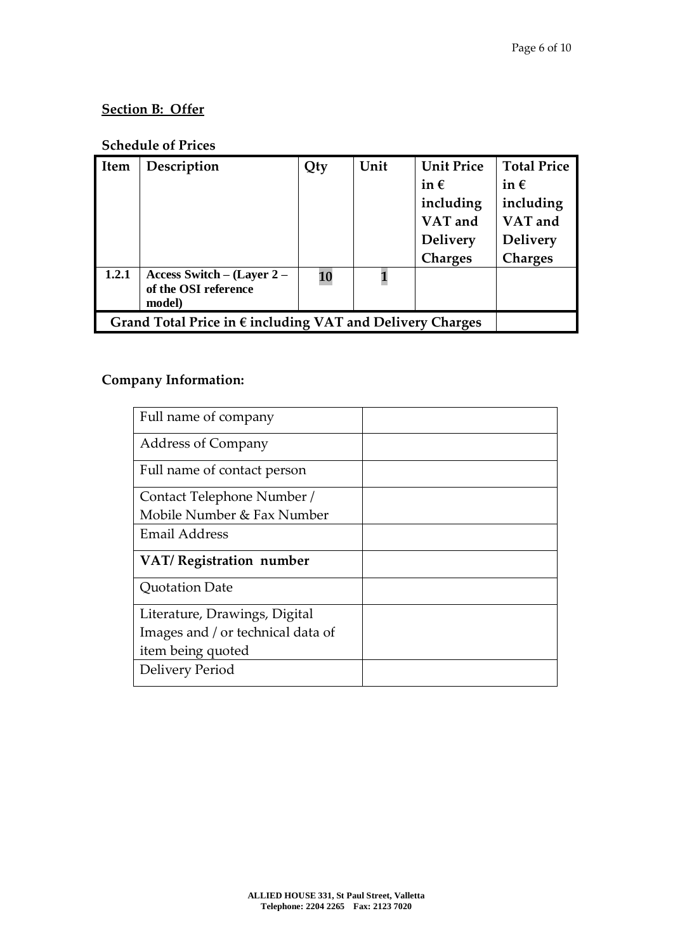# **Section B: Offer**

# **Schedule of Prices**

| <b>Item</b> | Description                                                        | Qty | Unit | <b>Unit Price</b> | <b>Total Price</b> |
|-------------|--------------------------------------------------------------------|-----|------|-------------------|--------------------|
|             |                                                                    |     |      | in $\epsilon$     | in $\epsilon$      |
|             |                                                                    |     |      | including         | including          |
|             |                                                                    |     |      | VAT and           | VAT and            |
|             |                                                                    |     |      | <b>Delivery</b>   | <b>Delivery</b>    |
|             |                                                                    |     |      | <b>Charges</b>    | <b>Charges</b>     |
| 1.2.1       | Access Switch – $(Layer 2 –$<br>of the OSI reference<br>model)     | 10  |      |                   |                    |
|             | Grand Total Price in $\epsilon$ including VAT and Delivery Charges |     |      |                   |                    |

# **Company Information:**

| Full name of company              |  |
|-----------------------------------|--|
| <b>Address of Company</b>         |  |
| Full name of contact person       |  |
| Contact Telephone Number /        |  |
| Mobile Number & Fax Number        |  |
| <b>Email Address</b>              |  |
| VAT/Registration number           |  |
| Quotation Date                    |  |
|                                   |  |
| Literature, Drawings, Digital     |  |
| Images and / or technical data of |  |
| item being quoted                 |  |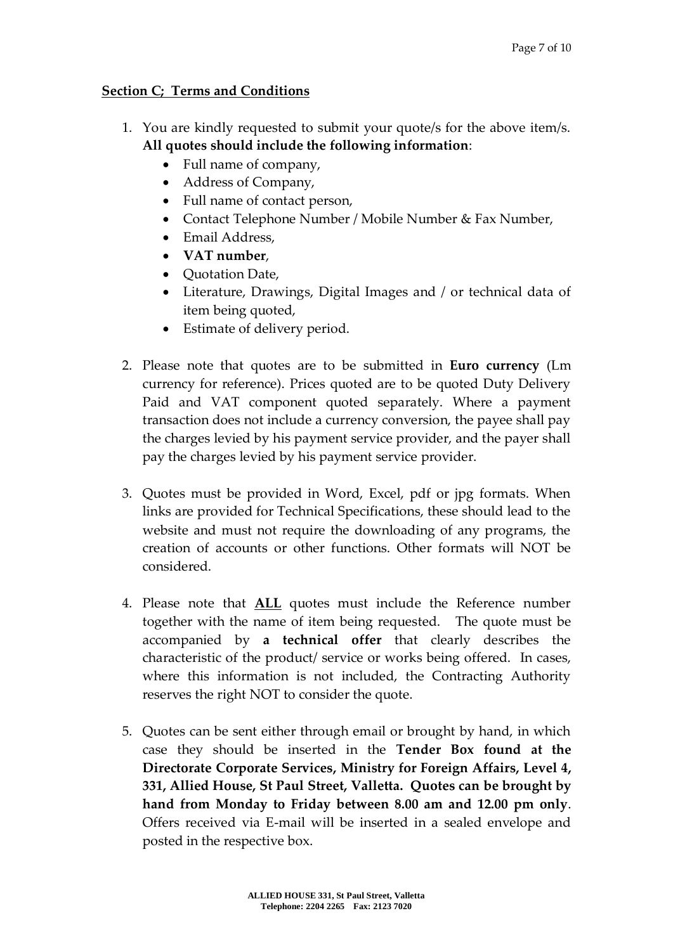### **Section C; Terms and Conditions**

- 1. You are kindly requested to submit your quote/s for the above item/s. **All quotes should include the following information**:
	- Full name of company,
	- Address of Company,
	- Full name of contact person,
	- Contact Telephone Number / Mobile Number & Fax Number,
	- Email Address,
	- **VAT number**,
	- Ouotation Date,
	- Literature, Drawings, Digital Images and / or technical data of item being quoted,
	- Estimate of delivery period.
- 2. Please note that quotes are to be submitted in **Euro currency** (Lm currency for reference). Prices quoted are to be quoted Duty Delivery Paid and VAT component quoted separately. Where a payment transaction does not include a currency conversion, the payee shall pay the charges levied by his payment service provider, and the payer shall pay the charges levied by his payment service provider.
- 3. Quotes must be provided in Word, Excel, pdf or jpg formats. When links are provided for Technical Specifications, these should lead to the website and must not require the downloading of any programs, the creation of accounts or other functions. Other formats will NOT be considered.
- 4. Please note that **ALL** quotes must include the Reference number together with the name of item being requested. The quote must be accompanied by **a technical offer** that clearly describes the characteristic of the product/ service or works being offered. In cases, where this information is not included, the Contracting Authority reserves the right NOT to consider the quote.
- 5. Quotes can be sent either through email or brought by hand, in which case they should be inserted in the **Tender Box found at the Directorate Corporate Services, Ministry for Foreign Affairs, Level 4, 331, Allied House, St Paul Street, Valletta. Quotes can be brought by hand from Monday to Friday between 8.00 am and 12.00 pm only**. Offers received via E-mail will be inserted in a sealed envelope and posted in the respective box.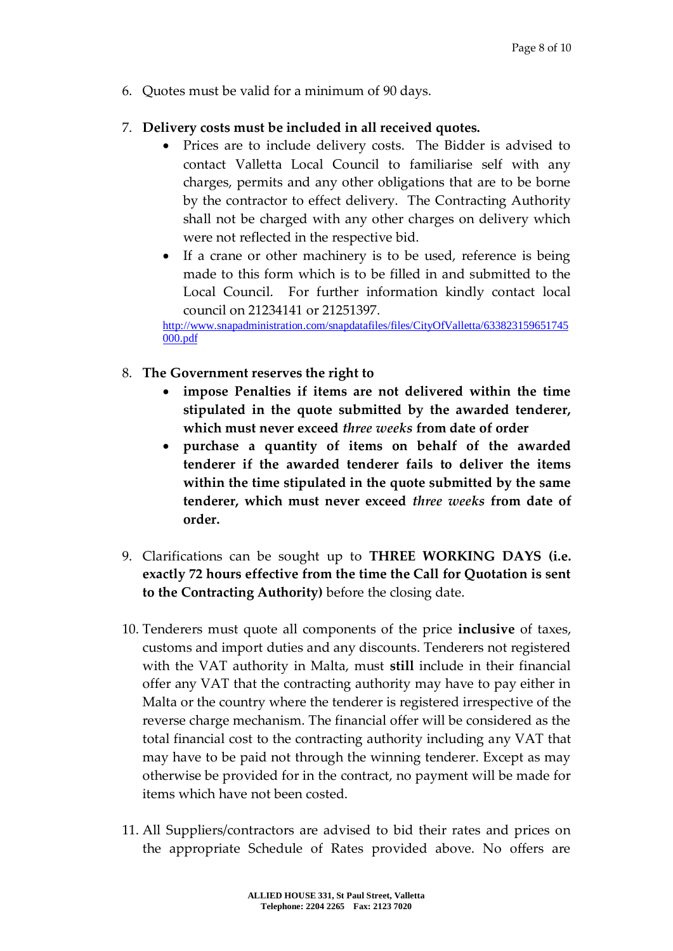6. Quotes must be valid for a minimum of 90 days.

#### 7. **Delivery costs must be included in all received quotes.**

- Prices are to include delivery costs. The Bidder is advised to contact Valletta Local Council to familiarise self with any charges, permits and any other obligations that are to be borne by the contractor to effect delivery. The Contracting Authority shall not be charged with any other charges on delivery which were not reflected in the respective bid.
- If a crane or other machinery is to be used, reference is being made to this form which is to be filled in and submitted to the Local Council. For further information kindly contact local council on 21234141 or 21251397.

[http://www.snapadministration.com/snapdatafiles/files/CityOfValletta/633823159651745](http://www.snapadministration.com/snapdatafiles/files/CityOfValletta/633823159651745000.pdf) [000.pdf](http://www.snapadministration.com/snapdatafiles/files/CityOfValletta/633823159651745000.pdf)

- 8. **The Government reserves the right to**
	- **impose Penalties if items are not delivered within the time stipulated in the quote submitted by the awarded tenderer, which must never exceed** *three weeks* **from date of order**
	- **purchase a quantity of items on behalf of the awarded tenderer if the awarded tenderer fails to deliver the items within the time stipulated in the quote submitted by the same tenderer, which must never exceed** *three weeks* **from date of order.**
- 9. Clarifications can be sought up to **THREE WORKING DAYS (i.e. exactly 72 hours effective from the time the Call for Quotation is sent to the Contracting Authority)** before the closing date.
- 10. Tenderers must quote all components of the price **inclusive** of taxes, customs and import duties and any discounts. Tenderers not registered with the VAT authority in Malta, must **still** include in their financial offer any VAT that the contracting authority may have to pay either in Malta or the country where the tenderer is registered irrespective of the reverse charge mechanism. The financial offer will be considered as the total financial cost to the contracting authority including any VAT that may have to be paid not through the winning tenderer. Except as may otherwise be provided for in the contract, no payment will be made for items which have not been costed.
- 11. All Suppliers/contractors are advised to bid their rates and prices on the appropriate Schedule of Rates provided above. No offers are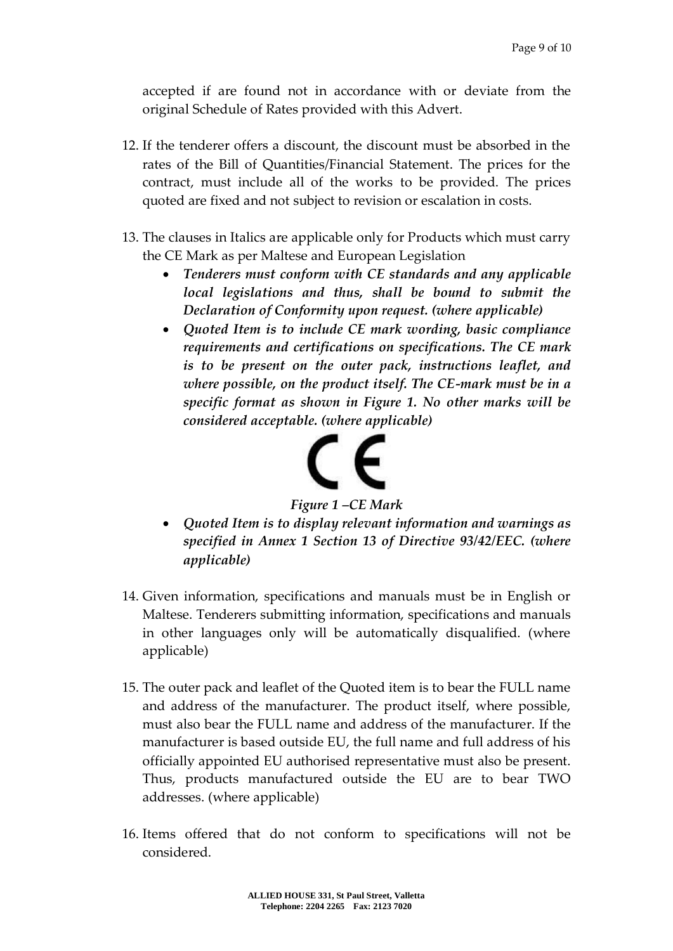accepted if are found not in accordance with or deviate from the original Schedule of Rates provided with this Advert.

- 12. If the tenderer offers a discount, the discount must be absorbed in the rates of the Bill of Quantities/Financial Statement. The prices for the contract, must include all of the works to be provided. The prices quoted are fixed and not subject to revision or escalation in costs.
- 13. The clauses in Italics are applicable only for Products which must carry the CE Mark as per Maltese and European Legislation
	- *Tenderers must conform with CE standards and any applicable local legislations and thus, shall be bound to submit the Declaration of Conformity upon request. (where applicable)*
	- *Quoted Item is to include CE mark wording, basic compliance requirements and certifications on specifications. The CE mark is to be present on the outer pack, instructions leaflet, and where possible, on the product itself. The CE-mark must be in a specific format as shown in Figure 1. No other marks will be considered acceptable. (where applicable)*



*Figure 1 –CE Mark*

- *Quoted Item is to display relevant information and warnings as specified in Annex 1 Section 13 of Directive 93/42/EEC. (where applicable)*
- 14. Given information, specifications and manuals must be in English or Maltese. Tenderers submitting information, specifications and manuals in other languages only will be automatically disqualified. (where applicable)
- 15. The outer pack and leaflet of the Quoted item is to bear the FULL name and address of the manufacturer. The product itself, where possible, must also bear the FULL name and address of the manufacturer. If the manufacturer is based outside EU, the full name and full address of his officially appointed EU authorised representative must also be present. Thus, products manufactured outside the EU are to bear TWO addresses. (where applicable)
- 16. Items offered that do not conform to specifications will not be considered.